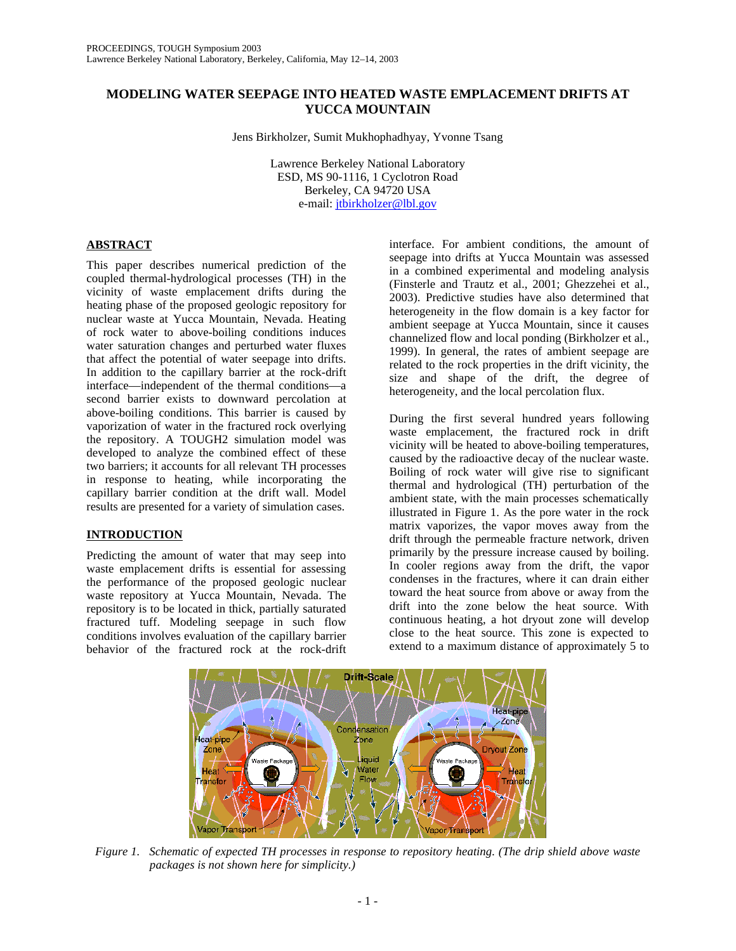# **MODELING WATER SEEPAGE INTO HEATED WASTE EMPLACEMENT DRIFTS AT YUCCA MOUNTAIN**

Jens Birkholzer, Sumit Mukhophadhyay, Yvonne Tsang

Lawrence Berkeley National Laboratory ESD, MS 90-1116, 1 Cyclotron Road Berkeley, CA 94720 USA e-mail: jtbirkholzer@lbl.gov

## **ABSTRACT**

This paper describes numerical prediction of the coupled thermal-hydrological processes (TH) in the vicinity of waste emplacement drifts during the heating phase of the proposed geologic repository for nuclear waste at Yucca Mountain, Nevada. Heating of rock water to above-boiling conditions induces water saturation changes and perturbed water fluxes that affect the potential of water seepage into drifts. In addition to the capillary barrier at the rock-drift interface—independent of the thermal conditions—a second barrier exists to downward percolation at above-boiling conditions. This barrier is caused by vaporization of water in the fractured rock overlying the repository. A TOUGH2 simulation model was developed to analyze the combined effect of these two barriers; it accounts for all relevant TH processes in response to heating, while incorporating the capillary barrier condition at the drift wall. Model results are presented for a variety of simulation cases.

## **INTRODUCTION**

Predicting the amount of water that may seep into waste emplacement drifts is essential for assessing the performance of the proposed geologic nuclear waste repository at Yucca Mountain, Nevada. The repository is to be located in thick, partially saturated fractured tuff. Modeling seepage in such flow conditions involves evaluation of the capillary barrier behavior of the fractured rock at the rock-drift interface. For ambient conditions, the amount of seepage into drifts at Yucca Mountain was assessed in a combined experimental and modeling analysis (Finsterle and Trautz et al., 2001; Ghezzehei et al., 2003). Predictive studies have also determined that heterogeneity in the flow domain is a key factor for ambient seepage at Yucca Mountain, since it causes channelized flow and local ponding (Birkholzer et al., 1999). In general, the rates of ambient seepage are related to the rock properties in the drift vicinity, the size and shape of the drift, the degree of heterogeneity, and the local percolation flux.

During the first several hundred years following waste emplacement, the fractured rock in drift vicinity will be heated to above-boiling temperatures, caused by the radioactive decay of the nuclear waste. Boiling of rock water will give rise to significant thermal and hydrological (TH) perturbation of the ambient state, with the main processes schematically illustrated in Figure 1. As the pore water in the rock matrix vaporizes, the vapor moves away from the drift through the permeable fracture network, driven primarily by the pressure increase caused by boiling. In cooler regions away from the drift, the vapor condenses in the fractures, where it can drain either toward the heat source from above or away from the drift into the zone below the heat source. With continuous heating, a hot dryout zone will develop close to the heat source. This zone is expected to extend to a maximum distance of approximately 5 to



*Figure 1. Schematic of expected TH processes in response to repository heating. (The drip shield above waste packages is not shown here for simplicity.)*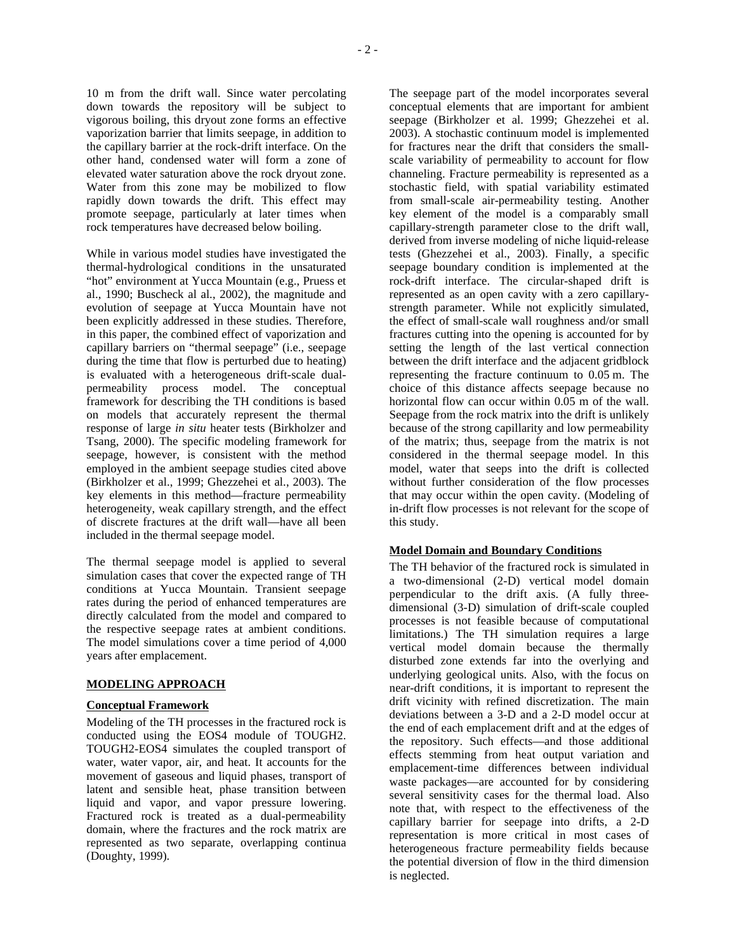10 m from the drift wall. Since water percolating down towards the repository will be subject to vigorous boiling, this dryout zone forms an effective vaporization barrier that limits seepage, in addition to the capillary barrier at the rock-drift interface. On the other hand, condensed water will form a zone of elevated water saturation above the rock dryout zone. Water from this zone may be mobilized to flow rapidly down towards the drift. This effect may promote seepage, particularly at later times when rock temperatures have decreased below boiling.

While in various model studies have investigated the thermal-hydrological conditions in the unsaturated "hot" environment at Yucca Mountain (e.g., Pruess et al., 1990; Buscheck al al., 2002), the magnitude and evolution of seepage at Yucca Mountain have not been explicitly addressed in these studies. Therefore, in this paper, the combined effect of vaporization and capillary barriers on "thermal seepage" (i.e., seepage during the time that flow is perturbed due to heating) is evaluated with a heterogeneous drift-scale dualpermeability process model. The conceptual framework for describing the TH conditions is based on models that accurately represent the thermal response of large *in situ* heater tests (Birkholzer and Tsang, 2000). The specific modeling framework for seepage, however, is consistent with the method employed in the ambient seepage studies cited above (Birkholzer et al., 1999; Ghezzehei et al., 2003). The key elements in this method—fracture permeability heterogeneity, weak capillary strength, and the effect of discrete fractures at the drift wall—have all been included in the thermal seepage model.

The thermal seepage model is applied to several simulation cases that cover the expected range of TH conditions at Yucca Mountain. Transient seepage rates during the period of enhanced temperatures are directly calculated from the model and compared to the respective seepage rates at ambient conditions. The model simulations cover a time period of 4,000 years after emplacement.

### **MODELING APPROACH**

#### **Conceptual Framework**

Modeling of the TH processes in the fractured rock is conducted using the EOS4 module of TOUGH2. TOUGH2-EOS4 simulates the coupled transport of water, water vapor, air, and heat. It accounts for the movement of gaseous and liquid phases, transport of latent and sensible heat, phase transition between liquid and vapor, and vapor pressure lowering. Fractured rock is treated as a dual-permeability domain, where the fractures and the rock matrix are represented as two separate, overlapping continua (Doughty, 1999).

The seepage part of the model incorporates several conceptual elements that are important for ambient seepage (Birkholzer et al. 1999; Ghezzehei et al. 2003). A stochastic continuum model is implemented for fractures near the drift that considers the smallscale variability of permeability to account for flow channeling. Fracture permeability is represented as a stochastic field, with spatial variability estimated from small-scale air-permeability testing. Another key element of the model is a comparably small capillary-strength parameter close to the drift wall, derived from inverse modeling of niche liquid-release tests (Ghezzehei et al., 2003). Finally, a specific seepage boundary condition is implemented at the rock-drift interface. The circular-shaped drift is represented as an open cavity with a zero capillarystrength parameter. While not explicitly simulated, the effect of small-scale wall roughness and/or small fractures cutting into the opening is accounted for by setting the length of the last vertical connection between the drift interface and the adjacent gridblock representing the fracture continuum to 0.05 m. The choice of this distance affects seepage because no horizontal flow can occur within 0.05 m of the wall. Seepage from the rock matrix into the drift is unlikely because of the strong capillarity and low permeability of the matrix; thus, seepage from the matrix is not considered in the thermal seepage model. In this model, water that seeps into the drift is collected without further consideration of the flow processes that may occur within the open cavity. (Modeling of in-drift flow processes is not relevant for the scope of this study.

#### **Model Domain and Boundary Conditions**

The TH behavior of the fractured rock is simulated in a two-dimensional (2-D) vertical model domain perpendicular to the drift axis. (A fully threedimensional (3-D) simulation of drift-scale coupled processes is not feasible because of computational limitations.) The TH simulation requires a large vertical model domain because the thermally disturbed zone extends far into the overlying and underlying geological units. Also, with the focus on near-drift conditions, it is important to represent the drift vicinity with refined discretization. The main deviations between a 3-D and a 2-D model occur at the end of each emplacement drift and at the edges of the repository. Such effects—and those additional effects stemming from heat output variation and emplacement-time differences between individual waste packages—are accounted for by considering several sensitivity cases for the thermal load. Also note that, with respect to the effectiveness of the capillary barrier for seepage into drifts, a 2-D representation is more critical in most cases of heterogeneous fracture permeability fields because the potential diversion of flow in the third dimension is neglected.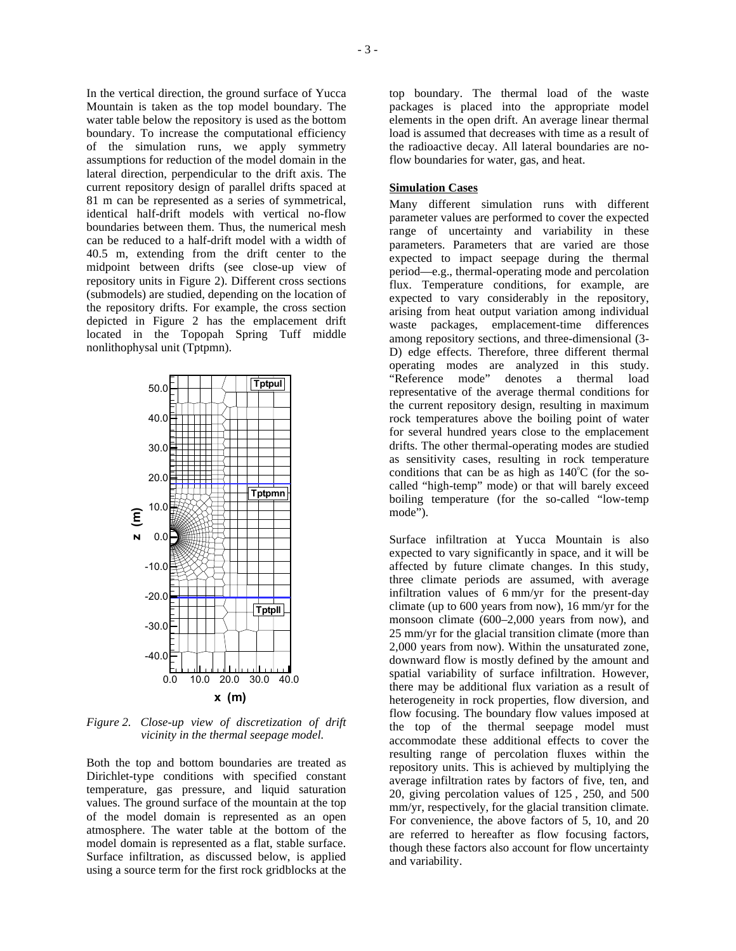In the vertical direction, the ground surface of Yucca Mountain is taken as the top model boundary. The water table below the repository is used as the bottom boundary. To increase the computational efficiency of the simulation runs, we apply symmetry assumptions for reduction of the model domain in the lateral direction, perpendicular to the drift axis. The current repository design of parallel drifts spaced at 81 m can be represented as a series of symmetrical, identical half-drift models with vertical no-flow boundaries between them. Thus, the numerical mesh can be reduced to a half-drift model with a width of 40.5 m, extending from the drift center to the midpoint between drifts (see close-up view of repository units in Figure 2). Different cross sections (submodels) are studied, depending on the location of the repository drifts. For example, the cross section depicted in Figure 2 has the emplacement drift located in the Topopah Spring Tuff middle nonlithophysal unit (Tptpmn).



*Figure 2. Close-up view of discretization of drift vicinity in the thermal seepage model.* 

Both the top and bottom boundaries are treated as Dirichlet-type conditions with specified constant temperature, gas pressure, and liquid saturation values. The ground surface of the mountain at the top of the model domain is represented as an open atmosphere. The water table at the bottom of the model domain is represented as a flat, stable surface. Surface infiltration, as discussed below, is applied using a source term for the first rock gridblocks at the

top boundary. The thermal load of the waste packages is placed into the appropriate model elements in the open drift. An average linear thermal load is assumed that decreases with time as a result of the radioactive decay. All lateral boundaries are noflow boundaries for water, gas, and heat.

### **Simulation Cases**

Many different simulation runs with different parameter values are performed to cover the expected range of uncertainty and variability in these parameters. Parameters that are varied are those expected to impact seepage during the thermal period—e.g., thermal-operating mode and percolation flux. Temperature conditions, for example, are expected to vary considerably in the repository, arising from heat output variation among individual waste packages, emplacement-time differences among repository sections, and three-dimensional (3- D) edge effects. Therefore, three different thermal operating modes are analyzed in this study. "Reference mode" denotes a thermal load representative of the average thermal conditions for the current repository design, resulting in maximum rock temperatures above the boiling point of water for several hundred years close to the emplacement drifts. The other thermal-operating modes are studied as sensitivity cases, resulting in rock temperature conditions that can be as high as  $140^{\circ}$ C (for the socalled "high-temp" mode) or that will barely exceed boiling temperature (for the so-called "low-temp mode").

Surface infiltration at Yucca Mountain is also expected to vary significantly in space, and it will be affected by future climate changes. In this study, three climate periods are assumed, with average infiltration values of 6 mm/yr for the present-day climate (up to 600 years from now), 16 mm/yr for the monsoon climate (600–2,000 years from now), and 25 mm/yr for the glacial transition climate (more than 2,000 years from now). Within the unsaturated zone, downward flow is mostly defined by the amount and spatial variability of surface infiltration. However, there may be additional flux variation as a result of heterogeneity in rock properties, flow diversion, and flow focusing. The boundary flow values imposed at the top of the thermal seepage model must accommodate these additional effects to cover the resulting range of percolation fluxes within the repository units. This is achieved by multiplying the average infiltration rates by factors of five, ten, and 20, giving percolation values of 125 , 250, and 500 mm/yr, respectively, for the glacial transition climate. For convenience, the above factors of 5, 10, and 20 are referred to hereafter as flow focusing factors, though these factors also account for flow uncertainty and variability.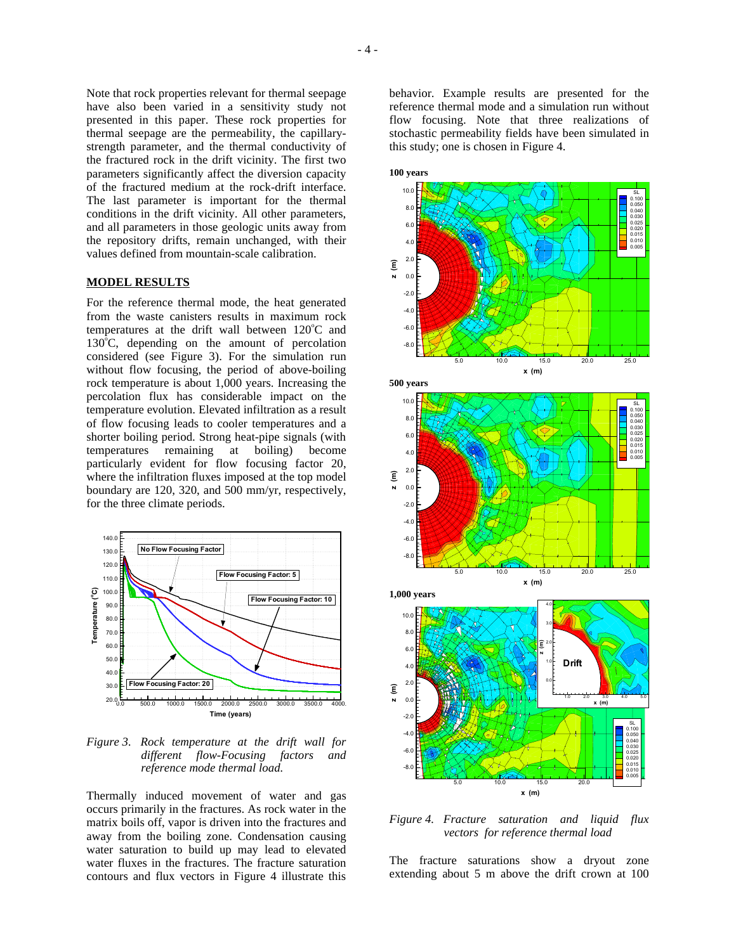Note that rock properties relevant for thermal seepage have also been varied in a sensitivity study not presented in this paper. These rock properties for thermal seepage are the permeability, the capillarystrength parameter, and the thermal conductivity of the fractured rock in the drift vicinity. The first two parameters significantly affect the diversion capacity of the fractured medium at the rock-drift interface. The last parameter is important for the thermal conditions in the drift vicinity. All other parameters, and all parameters in those geologic units away from the repository drifts, remain unchanged, with their values defined from mountain-scale calibration.

#### **MODEL RESULTS**

For the reference thermal mode, the heat generated from the waste canisters results in maximum rock temperatures at the drift wall between  $120^{\circ}$ C and  $130^{\circ}$ C, depending on the amount of percolation considered (see Figure 3). For the simulation run without flow focusing, the period of above-boiling rock temperature is about 1,000 years. Increasing the percolation flux has considerable impact on the temperature evolution. Elevated infiltration as a result of flow focusing leads to cooler temperatures and a shorter boiling period. Strong heat-pipe signals (with temperatures remaining at boiling) become particularly evident for flow focusing factor 20, where the infiltration fluxes imposed at the top model boundary are 120, 320, and 500 mm/yr, respectively, for the three climate periods.



*Figure 3. Rock temperature at the drift wall for different flow-Focusing factors and reference mode thermal load.* 

Thermally induced movement of water and gas occurs primarily in the fractures. As rock water in the matrix boils off, vapor is driven into the fractures and away from the boiling zone. Condensation causing water saturation to build up may lead to elevated water fluxes in the fractures. The fracture saturation contours and flux vectors in Figure 4 illustrate this

behavior. Example results are presented for the reference thermal mode and a simulation run without flow focusing. Note that three realizations of stochastic permeability fields have been simulated in this study; one is chosen in Figure 4.



*Figure 4. Fracture saturation and liquid flux vectors for reference thermal load* 

The fracture saturations show a dryout zone extending about 5 m above the drift crown at 100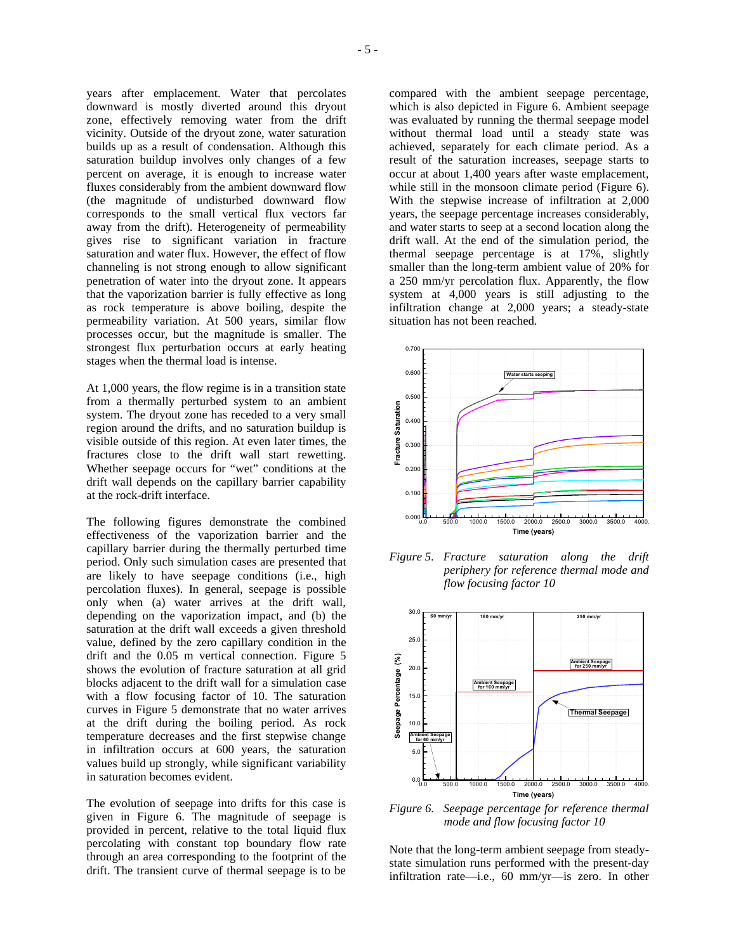years after emplacement. Water that percolates downward is mostly diverted around this dryout zone, effectively removing water from the drift vicinity. Outside of the dryout zone, water saturation builds up as a result of condensation. Although this saturation buildup involves only changes of a few percent on average, it is enough to increase water fluxes considerably from the ambient downward flow (the magnitude of undisturbed downward flow corresponds to the small vertical flux vectors far away from the drift). Heterogeneity of permeability gives rise to significant variation in fracture saturation and water flux. However, the effect of flow channeling is not strong enough to allow significant penetration of water into the dryout zone. It appears that the vaporization barrier is fully effective as long as rock temperature is above boiling, despite the permeability variation. At 500 years, similar flow processes occur, but the magnitude is smaller. The strongest flux perturbation occurs at early heating stages when the thermal load is intense.

At 1,000 years, the flow regime is in a transition state from a thermally perturbed system to an ambient system. The dryout zone has receded to a very small region around the drifts, and no saturation buildup is visible outside of this region. At even later times, the fractures close to the drift wall start rewetting. Whether seepage occurs for "wet" conditions at the drift wall depends on the capillary barrier capability at the rock-drift interface.

The following figures demonstrate the combined effectiveness of the vaporization barrier and the capillary barrier during the thermally perturbed time period. Only such simulation cases are presented that are likely to have seepage conditions (i.e., high percolation fluxes). In general, seepage is possible only when (a) water arrives at the drift wall, depending on the vaporization impact, and (b) the saturation at the drift wall exceeds a given threshold value, defined by the zero capillary condition in the drift and the 0.05 m vertical connection. Figure 5 shows the evolution of fracture saturation at all grid blocks adjacent to the drift wall for a simulation case with a flow focusing factor of 10. The saturation curves in Figure 5 demonstrate that no water arrives at the drift during the boiling period. As rock temperature decreases and the first stepwise change in infiltration occurs at 600 years, the saturation values build up strongly, while significant variability in saturation becomes evident.

The evolution of seepage into drifts for this case is given in Figure 6. The magnitude of seepage is provided in percent, relative to the total liquid flux percolating with constant top boundary flow rate through an area corresponding to the footprint of the drift. The transient curve of thermal seepage is to be compared with the ambient seepage percentage, which is also depicted in Figure 6. Ambient seepage was evaluated by running the thermal seepage model without thermal load until a steady state was achieved, separately for each climate period. As a result of the saturation increases, seepage starts to occur at about 1,400 years after waste emplacement, while still in the monsoon climate period (Figure 6). With the stepwise increase of infiltration at 2,000 years, the seepage percentage increases considerably, and water starts to seep at a second location along the drift wall. At the end of the simulation period, the thermal seepage percentage is at 17%, slightly smaller than the long-term ambient value of 20% for a 250 mm/yr percolation flux. Apparently, the flow system at 4,000 years is still adjusting to the infiltration change at 2,000 years; a steady-state situation has not been reached.



*Figure 5. Fracture saturation along the drift periphery for reference thermal mode and flow focusing factor 10* 



*Figure 6. Seepage percentage for reference thermal mode and flow focusing factor 10* 

Note that the long-term ambient seepage from steadystate simulation runs performed with the present-day infiltration rate—i.e., 60 mm/yr—is zero. In other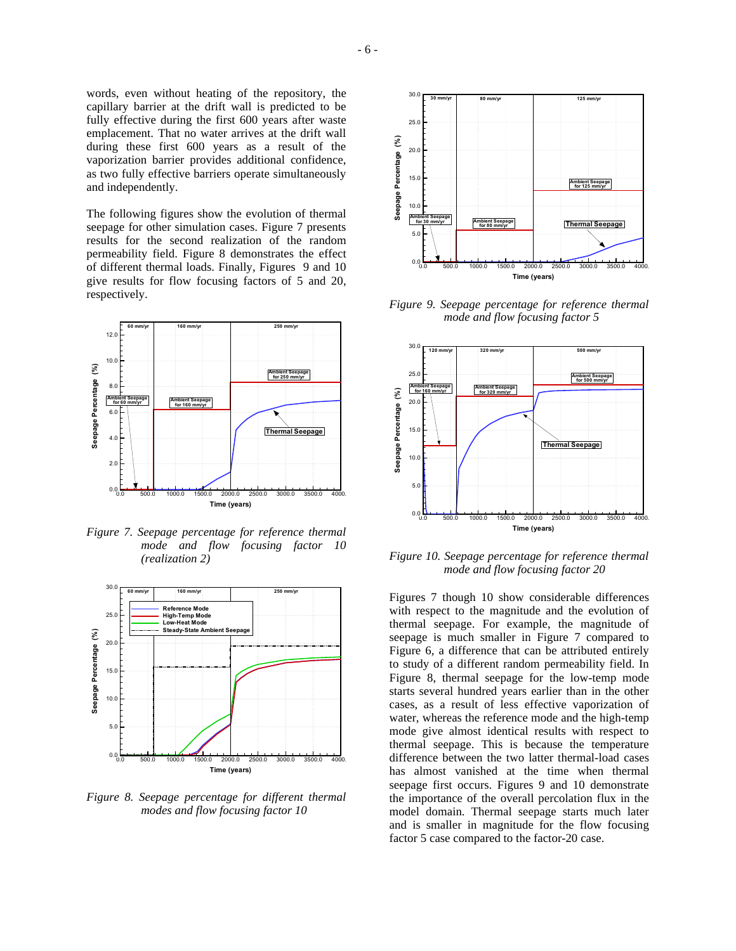words, even without heating of the repository, the capillary barrier at the drift wall is predicted to be fully effective during the first 600 years after waste emplacement. That no water arrives at the drift wall during these first 600 years as a result of the vaporization barrier provides additional confidence, as two fully effective barriers operate simultaneously and independently.

The following figures show the evolution of thermal seepage for other simulation cases. Figure 7 presents results for the second realization of the random permeability field. Figure 8 demonstrates the effect of different thermal loads. Finally, Figures 9 and 10 give results for flow focusing factors of 5 and 20, respectively.



*Figure 7. Seepage percentage for reference thermal mode and flow focusing factor 10 (realization 2)* 



*Figure 8. Seepage percentage for different thermal modes and flow focusing factor 10* 



*Figure 9. Seepage percentage for reference thermal mode and flow focusing factor 5* 



*Figure 10. Seepage percentage for reference thermal mode and flow focusing factor 20* 

Figures 7 though 10 show considerable differences with respect to the magnitude and the evolution of thermal seepage. For example, the magnitude of seepage is much smaller in Figure 7 compared to Figure 6, a difference that can be attributed entirely to study of a different random permeability field. In Figure 8, thermal seepage for the low-temp mode starts several hundred years earlier than in the other cases, as a result of less effective vaporization of water, whereas the reference mode and the high-temp mode give almost identical results with respect to thermal seepage. This is because the temperature difference between the two latter thermal-load cases has almost vanished at the time when thermal seepage first occurs. Figures 9 and 10 demonstrate the importance of the overall percolation flux in the model domain. Thermal seepage starts much later and is smaller in magnitude for the flow focusing factor 5 case compared to the factor-20 case.